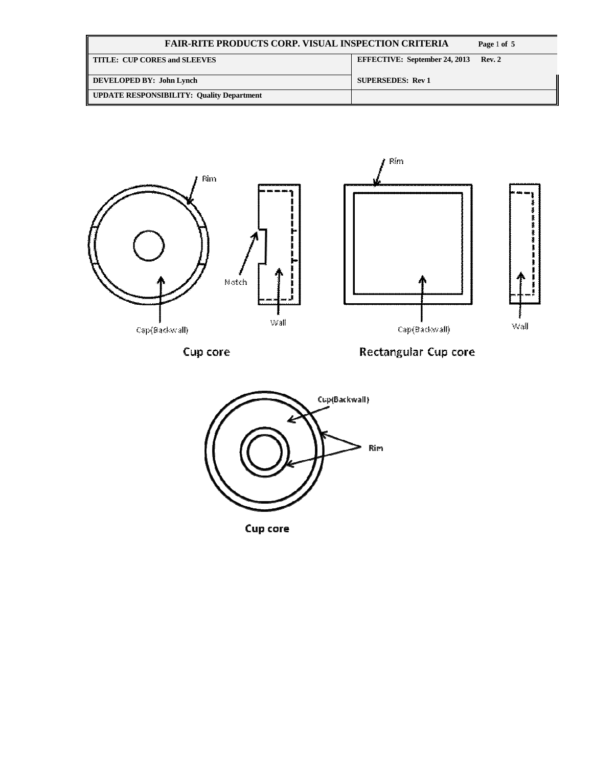| <b>FAIR-RITE PRODUCTS CORP. VISUAL INSPECTION CRITERIA</b> | Page 1 of 5                          |               |
|------------------------------------------------------------|--------------------------------------|---------------|
| TITLE: CUP CORES and SLEEVES                               | <b>EFFECTIVE: September 24, 2013</b> | <b>Rev. 2</b> |
| DEVELOPED BY: John Lynch                                   | <b>SUPERSEDES: Rev 1</b>             |               |
| UPDATE RESPONSIBILITY: Quality Department                  |                                      |               |



Cup core

Rectangular Cup core



Cup core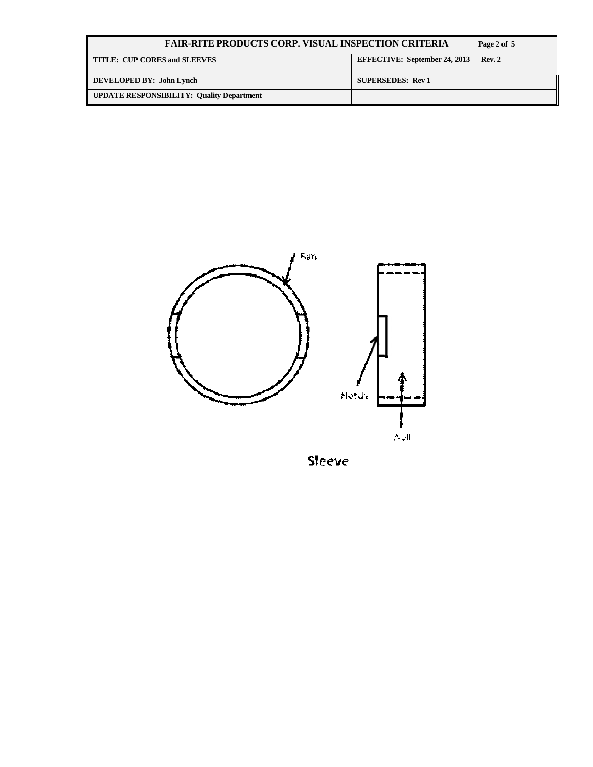| <b>FAIR-RITE PRODUCTS CORP. VISUAL INSPECTION CRITERIA</b> | Page 2 of 5                          |        |
|------------------------------------------------------------|--------------------------------------|--------|
| $\parallel$ TITLE: CUP CORES and SLEEVES                   | <b>EFFECTIVE: September 24, 2013</b> | Rev. 2 |
| DEVELOPED BY: John Lynch                                   | <b>SUPERSEDES: Rev 1</b>             |        |
| <b>UPDATE RESPONSIBILITY: Quality Department</b>           |                                      |        |



Sleeve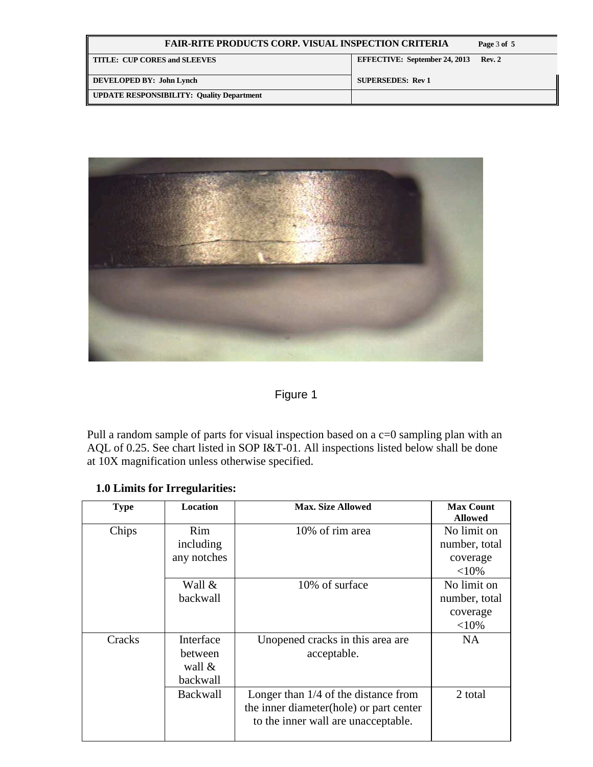| <b>FAIR-RITE PRODUCTS CORP. VISUAL INSPECTION CRITERIA</b> | Page 3 of 5                          |        |
|------------------------------------------------------------|--------------------------------------|--------|
| <b>TITLE: CUP CORES and SLEEVES</b>                        | <b>EFFECTIVE: September 24, 2013</b> | Rev. 2 |
| DEVELOPED BY: John Lynch                                   | <b>SUPERSEDES: Rev 1</b>             |        |
| <b>UPDATE RESPONSIBILITY: Quality Department</b>           |                                      |        |



## Figure 1

Pull a random sample of parts for visual inspection based on a c=0 sampling plan with an AQL of 0.25. See chart listed in SOP I&T-01. All inspections listed below shall be done at 10X magnification unless otherwise specified.

## **1.0 Limits for Irregularities:**

| <b>Type</b> | <b>Location</b> | <b>Max. Size Allowed</b>                | <b>Max Count</b><br><b>Allowed</b> |
|-------------|-----------------|-----------------------------------------|------------------------------------|
| Chips       | <b>Rim</b>      | 10% of rim area                         | No limit on                        |
|             | including       |                                         | number, total                      |
|             | any notches     |                                         | coverage                           |
|             |                 |                                         | ${<}10\%$                          |
|             | Wall &          | 10% of surface                          | No limit on                        |
|             | backwall        |                                         | number, total                      |
|             |                 |                                         | coverage                           |
|             |                 |                                         | ${<}10\%$                          |
| Cracks      | Interface       | Unopened cracks in this area are        | <b>NA</b>                          |
|             | between         | acceptable.                             |                                    |
|             | wall &          |                                         |                                    |
|             | backwall        |                                         |                                    |
|             | <b>Backwall</b> | Longer than $1/4$ of the distance from  | 2 total                            |
|             |                 | the inner diameter(hole) or part center |                                    |
|             |                 | to the inner wall are unacceptable.     |                                    |
|             |                 |                                         |                                    |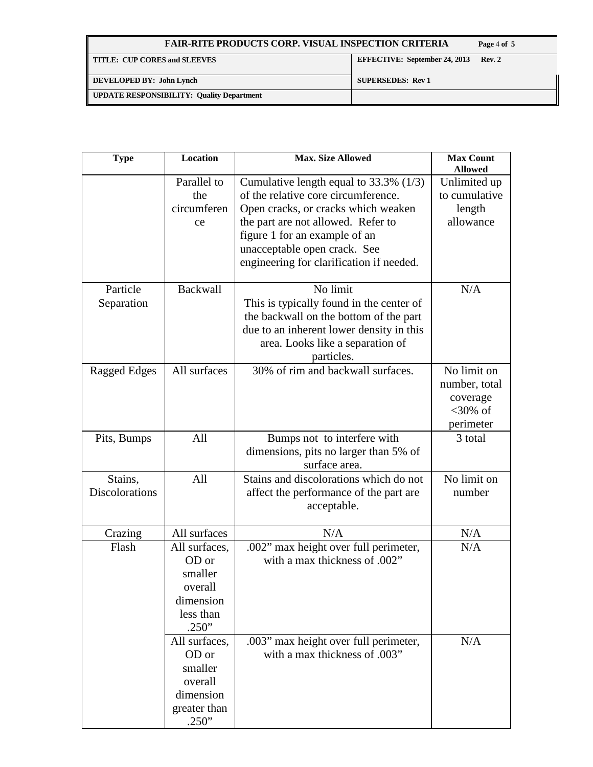| <b>FAIR-RITE PRODUCTS CORP. VISUAL INSPECTION CRITERIA</b> | Page 4 of 5                          |        |
|------------------------------------------------------------|--------------------------------------|--------|
| <b>TITLE: CUP CORES and SLEEVES</b>                        | <b>EFFECTIVE: September 24, 2013</b> | Rev. 2 |
| DEVELOPED BY: John Lynch                                   | <b>SUPERSEDES: Rev 1</b>             |        |
| <b>UPDATE RESPONSIBILITY: Quality Department</b>           |                                      |        |

| <b>Type</b>               | Location                                                                           | <b>Max. Size Allowed</b>                                                                                                                                                                                                                                                   | <b>Max Count</b><br><b>Allowed</b>                                  |
|---------------------------|------------------------------------------------------------------------------------|----------------------------------------------------------------------------------------------------------------------------------------------------------------------------------------------------------------------------------------------------------------------------|---------------------------------------------------------------------|
|                           | Parallel to<br>the<br>circumferen<br>ce                                            | Cumulative length equal to $33.3\%$ (1/3)<br>of the relative core circumference.<br>Open cracks, or cracks which weaken<br>the part are not allowed. Refer to<br>figure 1 for an example of an<br>unacceptable open crack. See<br>engineering for clarification if needed. | Unlimited up<br>to cumulative<br>length<br>allowance                |
| Particle<br>Separation    | <b>Backwall</b>                                                                    | No limit<br>This is typically found in the center of<br>the backwall on the bottom of the part<br>due to an inherent lower density in this<br>area. Looks like a separation of<br>particles.                                                                               | N/A                                                                 |
| Ragged Edges              | All surfaces                                                                       | 30% of rim and backwall surfaces.                                                                                                                                                                                                                                          | No limit on<br>number, total<br>coverage<br>$<30\%$ of<br>perimeter |
| Pits, Bumps               | All                                                                                | Bumps not to interfere with<br>dimensions, pits no larger than 5% of<br>surface area.                                                                                                                                                                                      | 3 total                                                             |
| Stains,<br>Discolorations | All                                                                                | Stains and discolorations which do not<br>affect the performance of the part are<br>acceptable.                                                                                                                                                                            | No limit on<br>number                                               |
| Crazing                   | All surfaces                                                                       | N/A                                                                                                                                                                                                                                                                        | N/A                                                                 |
| Flash                     | All surfaces,<br>OD or<br>smaller<br>overall<br>dimension<br>less than<br>.250"    | .002" max height over full perimeter,<br>with a max thickness of .002"                                                                                                                                                                                                     | N/A                                                                 |
|                           | All surfaces,<br>OD or<br>smaller<br>overall<br>dimension<br>greater than<br>.250" | .003" max height over full perimeter,<br>with a max thickness of .003"                                                                                                                                                                                                     | N/A                                                                 |